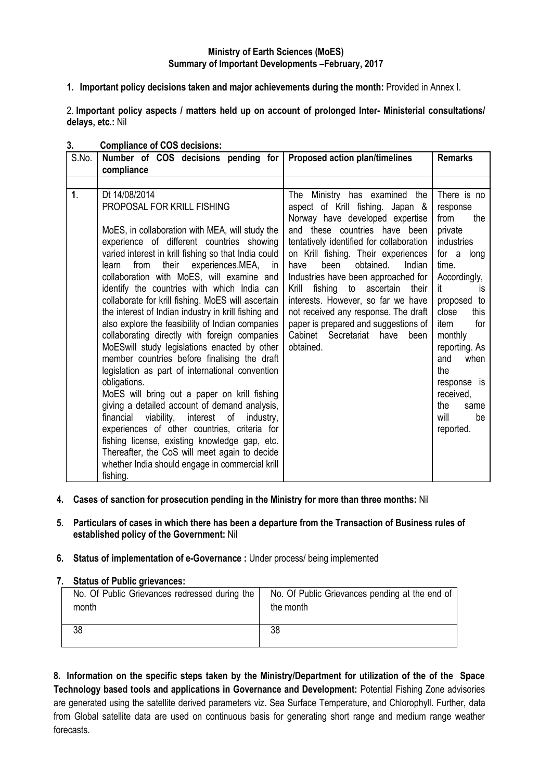## **Ministry of Earth Sciences (MoES) Summary of Important Developments –February, 2017**

**1. Important policy decisions taken and major achievements during the month:** Provided in Annex I.

2. **Important policy aspects / matters held up on account of prolonged Inter- Ministerial consultations/ delays, etc.:** Nil

| S.No. | Number of COS decisions pending for<br>compliance                                                                                                                                                                                                                                                                                                                                                                                                                                                                                                                                                                                                                                                                                                                                                                                                                                                                                                                                                                                                                                                | Proposed action plan/timelines                                                                                                                                                                                                                                                                                                                                                                                                                                                                                                   | <b>Remarks</b>                                                                                                                                                                                                                                                                                    |
|-------|--------------------------------------------------------------------------------------------------------------------------------------------------------------------------------------------------------------------------------------------------------------------------------------------------------------------------------------------------------------------------------------------------------------------------------------------------------------------------------------------------------------------------------------------------------------------------------------------------------------------------------------------------------------------------------------------------------------------------------------------------------------------------------------------------------------------------------------------------------------------------------------------------------------------------------------------------------------------------------------------------------------------------------------------------------------------------------------------------|----------------------------------------------------------------------------------------------------------------------------------------------------------------------------------------------------------------------------------------------------------------------------------------------------------------------------------------------------------------------------------------------------------------------------------------------------------------------------------------------------------------------------------|---------------------------------------------------------------------------------------------------------------------------------------------------------------------------------------------------------------------------------------------------------------------------------------------------|
|       |                                                                                                                                                                                                                                                                                                                                                                                                                                                                                                                                                                                                                                                                                                                                                                                                                                                                                                                                                                                                                                                                                                  |                                                                                                                                                                                                                                                                                                                                                                                                                                                                                                                                  |                                                                                                                                                                                                                                                                                                   |
| 1.    | Dt 14/08/2014<br>PROPOSAL FOR KRILL FISHING<br>MoES, in collaboration with MEA, will study the<br>experience of different countries showing<br>varied interest in krill fishing so that India could<br>from their experiences.MEA, in<br>learn<br>collaboration with MoES, will examine and<br>identify the countries with which India can<br>collaborate for krill fishing. MoES will ascertain<br>the interest of Indian industry in krill fishing and<br>also explore the feasibility of Indian companies<br>collaborating directly with foreign companies<br>MoESwill study legislations enacted by other<br>member countries before finalising the draft<br>legislation as part of international convention<br>obligations.<br>MoES will bring out a paper on krill fishing<br>giving a detailed account of demand analysis,<br>financial viability, interest of industry,<br>experiences of other countries, criteria for<br>fishing license, existing knowledge gap, etc.<br>Thereafter, the CoS will meet again to decide<br>whether India should engage in commercial krill<br>fishing. | The<br>Ministry has examined<br>the<br>aspect of Krill fishing. Japan &<br>Norway have developed expertise<br>and these countries have been<br>tentatively identified for collaboration<br>on Krill fishing. Their experiences<br>been<br>obtained.<br>Indian<br>have<br>Industries have been approached for<br>fishing to ascertain<br>their<br>Krill<br>interests. However, so far we have<br>not received any response. The draft<br>paper is prepared and suggestions of<br>Cabinet Secretariat<br>have<br>been<br>obtained. | There is no<br>response<br>from<br>the<br>private<br><i>industries</i><br>for a long<br>time.<br>Accordingly,<br>it<br>İS.<br>proposed to<br>close<br>this<br>item<br>for<br>monthly<br>reporting. As<br>and<br>when<br>the<br>response is<br>received,<br>the<br>same<br>will<br>be<br>reported. |

## **3. Compliance of COS decisions:**

- **4. Cases of sanction for prosecution pending in the Ministry for more than three months:** Nil
- **5. Particulars of cases in which there has been a departure from the Transaction of Business rules of established policy of the Government:** Nil

### **6. Status of implementation of e-Governance :** Under process/ being implemented

### **7. Status of Public grievances:**

| No. Of Public Grievances redressed during the | No. Of Public Grievances pending at the end of |
|-----------------------------------------------|------------------------------------------------|
| month                                         | the month                                      |
| 38                                            | 38                                             |

**8. Information on the specific steps taken by the Ministry/Department for utilization of the of the Space Technology based tools and applications in Governance and Development:** Potential Fishing Zone advisories are generated using the satellite derived parameters viz. Sea Surface Temperature, and Chlorophyll. Further, data from Global satellite data are used on continuous basis for generating short range and medium range weather forecasts.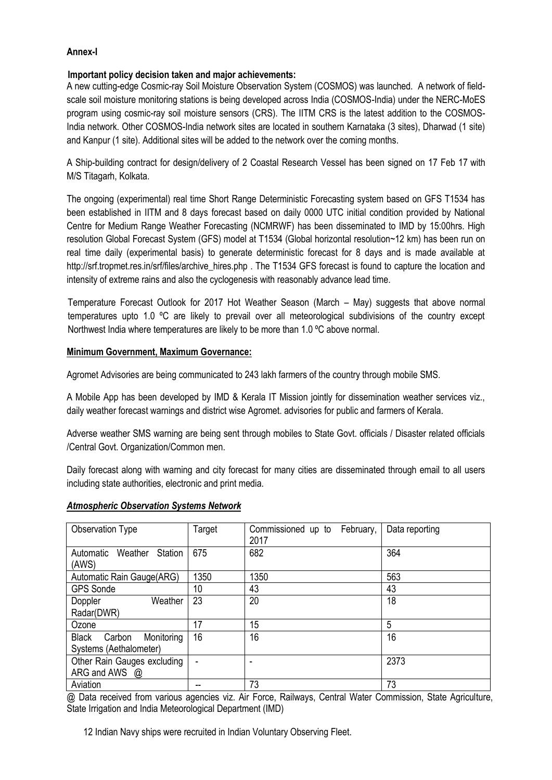## **Annex-I**

### **Important policy decision taken and major achievements:**

A new cutting-edge Cosmic-ray Soil Moisture Observation System (COSMOS) was launched. A network of fieldscale soil moisture monitoring stations is being developed across India (COSMOS-India) under the NERC-MoES program using cosmic-ray soil moisture sensors (CRS). The IITM CRS is the latest addition to the COSMOS-India network. Other COSMOS-India network sites are located in southern Karnataka (3 sites), Dharwad (1 site) and Kanpur (1 site). Additional sites will be added to the network over the coming months.

A Ship-building contract for design/delivery of 2 Coastal Research Vessel has been signed on 17 Feb 17 with M/S Titagarh, Kolkata.

The ongoing (experimental) real time Short Range Deterministic Forecasting system based on GFS T1534 has been established in IITM and 8 days forecast based on daily 0000 UTC initial condition provided by National Centre for Medium Range Weather Forecasting (NCMRWF) has been disseminated to IMD by 15:00hrs. High resolution Global Forecast System (GFS) model at T1534 (Global horizontal resolution~12 km) has been run on real time daily (experimental basis) to generate deterministic forecast for 8 days and is made available at [http://srf.tropmet.res.in/srf/files/archive\\_hires.php](http://srf.tropmet.res.in/srf/files/archive_hires.php) . The T1534 GFS forecast is found to capture the location and intensity of extreme rains and also the cyclogenesis with reasonably advance lead time.

Temperature Forecast Outlook for 2017 Hot Weather Season (March – May) suggests that above normal temperatures upto 1.0 ºC are likely to prevail over all meteorological subdivisions of the country except Northwest India where temperatures are likely to be more than 1.0 ºC above normal.

### **Minimum Government, Maximum Governance:**

Agromet Advisories are being communicated to 243 lakh farmers of the country through mobile SMS.

A Mobile App has been developed by IMD & Kerala IT Mission jointly for dissemination weather services viz., daily weather forecast warnings and district wise Agromet. advisories for public and farmers of Kerala.

Adverse weather SMS warning are being sent through mobiles to State Govt. officials / Disaster related officials /Central Govt. Organization/Common men.

Daily forecast along with warning and city forecast for many cities are disseminated through email to all users including state authorities, electronic and print media.

| Observation Type                         | Target | Commissioned up to<br>February,<br>2017 | Data reporting |
|------------------------------------------|--------|-----------------------------------------|----------------|
| Station<br>Weather<br>Automatic<br>(AWS) | 675    | 682                                     | 364            |
| Automatic Rain Gauge(ARG)                | 1350   | 1350                                    | 563            |
| <b>GPS Sonde</b>                         | 10     | 43                                      | 43             |
| Weather<br>Doppler                       | 23     | 20                                      | 18             |
| Radar(DWR)                               |        |                                         |                |
| Ozone                                    | 17     | 15                                      | 5              |
| <b>Black</b><br>Monitoring<br>Carbon     | 16     | 16                                      | 16             |
| Systems (Aethalometer)                   |        |                                         |                |
| Other Rain Gauges excluding              |        |                                         | 2373           |
| ARG and AWS @                            |        |                                         |                |
| Aviation                                 |        | 73                                      | 73             |

### *Atmospheric Observation Systems Network*

@ Data received from various agencies viz. Air Force, Railways, Central Water Commission, State Agriculture, State Irrigation and India Meteorological Department (IMD)

12 Indian Navy ships were recruited in Indian Voluntary Observing Fleet.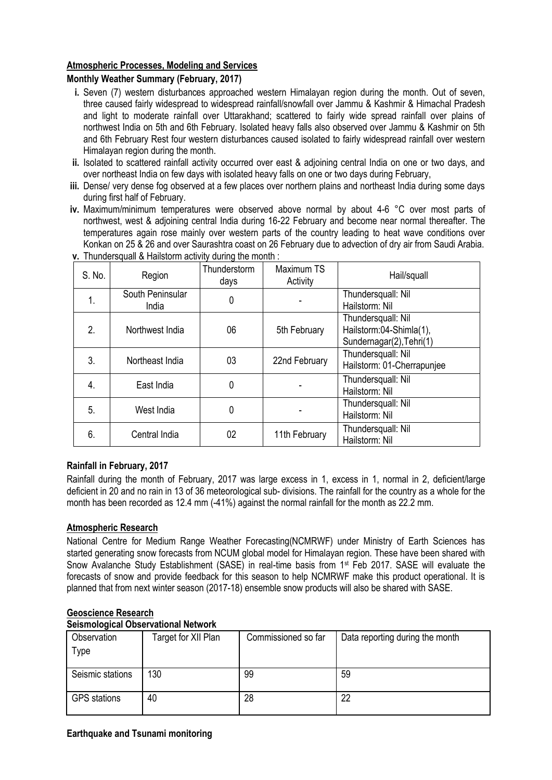# **Atmospheric Processes, Modeling and Services**

# **Monthly Weather Summary (February, 2017)**

- **i.** Seven (7) western disturbances approached western Himalayan region during the month. Out of seven, three caused fairly widespread to widespread rainfall/snowfall over Jammu & Kashmir & Himachal Pradesh and light to moderate rainfall over Uttarakhand; scattered to fairly wide spread rainfall over plains of northwest India on 5th and 6th February. Isolated heavy falls also observed over Jammu & Kashmir on 5th and 6th February Rest four western disturbances caused isolated to fairly widespread rainfall over western Himalayan region during the month.
- **ii.** Isolated to scattered rainfall activity occurred over east & adjoining central India on one or two days, and over northeast India on few days with isolated heavy falls on one or two days during February,
- **iii.** Dense/ very dense fog observed at a few places over northern plains and northeast India during some days during first half of February.
- **iv.** Maximum/minimum temperatures were observed above normal by about 4-6 °C over most parts of northwest, west & adjoining central India during 16-22 February and become near normal thereafter. The temperatures again rose mainly over western parts of the country leading to heat wave conditions over Konkan on 25 & 26 and over Saurashtra coast on 26 February due to advection of dry air from Saudi Arabia.

| S. No. | Region                    | Thunderstorm<br>days | Maximum TS<br>Activity | Hail/squall                                                               |
|--------|---------------------------|----------------------|------------------------|---------------------------------------------------------------------------|
| 1.     | South Peninsular<br>India | 0                    |                        | Thundersquall: Nil<br>Hailstorm: Nil                                      |
| 2.     | Northwest India           | 06                   | 5th February           | Thundersquall: Nil<br>Hailstorm:04-Shimla(1),<br>Sundernagar(2), Tehri(1) |
| 3.     | Northeast India           | 03                   | 22nd February          | Thundersquall: Nil<br>Hailstorm: 01-Cherrapunjee                          |
| 4.     | East India                | 0                    |                        | Thundersquall: Nil<br>Hailstorm: Nil                                      |
| 5.     | West India                | 0                    |                        | Thundersquall: Nil<br>Hailstorm: Nil                                      |
| 6.     | Central India             | 02                   | 11th February          | Thundersquall: Nil<br>Hailstorm: Nil                                      |

**v.** Thundersquall & Hailstorm activity during the month :

# **Rainfall in February, 2017**

Rainfall during the month of February, 2017 was large excess in 1, excess in 1, normal in 2, deficient/large deficient in 20 and no rain in 13 of 36 meteorological sub- divisions. The rainfall for the country as a whole for the month has been recorded as 12.4 mm (-41%) against the normal rainfall for the month as 22.2 mm.

# **Atmospheric Research**

National Centre for Medium Range Weather Forecasting(NCMRWF) under Ministry of Earth Sciences has started generating snow forecasts from NCUM global model for Himalayan region. These have been shared with Snow Avalanche Study Establishment (SASE) in real-time basis from 1<sup>st</sup> Feb 2017. SASE will evaluate the forecasts of snow and provide feedback for this season to help NCMRWF make this product operational. It is planned that from next winter season (2017-18) ensemble snow products will also be shared with SASE.

| Seismological Observational Network |                     |                     |                                 |  |  |  |  |
|-------------------------------------|---------------------|---------------------|---------------------------------|--|--|--|--|
| Observation                         | Target for XII Plan | Commissioned so far | Data reporting during the month |  |  |  |  |
| Type                                |                     |                     |                                 |  |  |  |  |
|                                     |                     |                     |                                 |  |  |  |  |
| Seismic stations                    | 130                 | 99                  | 59                              |  |  |  |  |
| <b>GPS</b> stations                 | 40                  | 28                  | 22                              |  |  |  |  |

# **Geoscience Research**

# **Seismological Observational Network**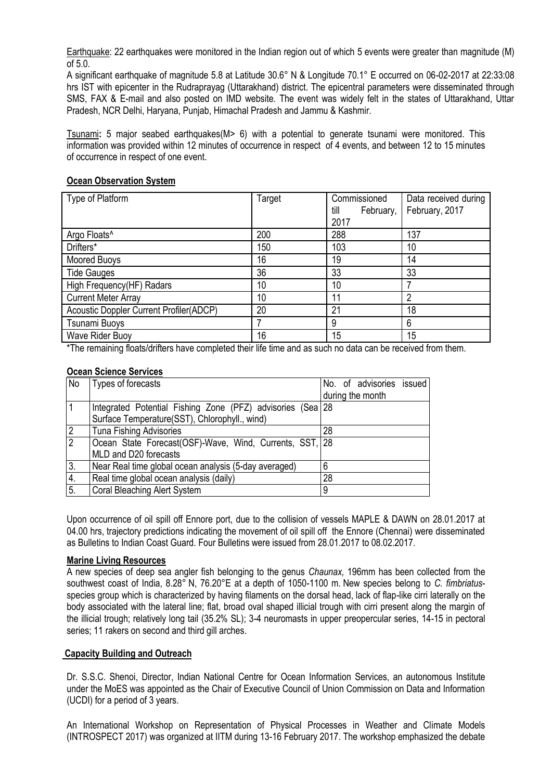Earthquake: 22 earthquakes were monitored in the Indian region out of which 5 events were greater than magnitude (M) of 5.0.

A significant earthquake of magnitude 5.8 at Latitude 30.6° N & Longitude 70.1° E occurred on 06-02-2017 at 22:33:08 hrs IST with epicenter in the Rudraprayag (Uttarakhand) district. The epicentral parameters were disseminated through SMS, FAX & E-mail and also posted on IMD website. The event was widely felt in the states of Uttarakhand, Uttar Pradesh, NCR Delhi, Haryana, Punjab, Himachal Pradesh and Jammu & Kashmir.

Tsunami**:** 5 major seabed earthquakes(M> 6) with a potential to generate tsunami were monitored. This information was provided within 12 minutes of occurrence in respect of 4 events, and between 12 to 15 minutes of occurrence in respect of one event.

| Type of Platform                               | Target | Commissioned<br>February,<br>till<br>2017 | Data received during<br>February, 2017 |
|------------------------------------------------|--------|-------------------------------------------|----------------------------------------|
| Argo Floats <sup>^</sup>                       | 200    | 288                                       | 137                                    |
| Drifters*                                      | 150    | 103                                       | 10                                     |
| Moored Buoys                                   | 16     | 19                                        | 14                                     |
| <b>Tide Gauges</b>                             | 36     | 33                                        | 33                                     |
| High Frequency(HF) Radars                      | 10     | 10                                        |                                        |
| <b>Current Meter Array</b>                     | 10     | 11                                        | 2                                      |
| <b>Acoustic Doppler Current Profiler(ADCP)</b> | 20     | 21                                        | 18                                     |
| Tsunami Buoys                                  |        | 9                                         | 6                                      |
| Wave Rider Buoy                                | 16     | 15                                        | 15                                     |

## **Ocean Observation System**

\*The remaining floats/drifters have completed their life time and as such no data can be received from them.

### **Ocean Science Services**

| No             | Types of forecasts                                         | No. of advisories issued |
|----------------|------------------------------------------------------------|--------------------------|
|                |                                                            | during the month         |
|                | Integrated Potential Fishing Zone (PFZ) advisories (Sea 28 |                          |
|                | Surface Temperature(SST), Chlorophyll., wind)              |                          |
| 2              | <b>Tuna Fishing Advisories</b>                             | 28                       |
| $\overline{2}$ | Ocean State Forecast(OSF)-Wave, Wind, Currents, SST, 28    |                          |
|                | MLD and D20 forecasts                                      |                          |
| 3.             | Near Real time global ocean analysis (5-day averaged)      | 6                        |
| 4.             | Real time global ocean analysis (daily)                    | 28                       |
| 5.             | <b>Coral Bleaching Alert System</b>                        | 9                        |

Upon occurrence of oil spill off Ennore port, due to the collision of vessels MAPLE & DAWN on 28.01.2017 at 04.00 hrs, trajectory predictions indicating the movement of oil spill off the Ennore (Chennai) were disseminated as Bulletins to Indian Coast Guard. Four Bulletins were issued from 28.01.2017 to 08.02.2017.

### **Marine Living Resources**

A new species of deep sea angler fish belonging to the genus *Chaunax,* 196mm has been collected from the southwest coast of India, 8.28° N, 76.20°E at a depth of 1050-1100 m. New species belong to *C. fimbriatus*species group which is characterized by having filaments on the dorsal head, lack of flap-like cirri laterally on the body associated with the lateral line; flat, broad oval shaped illicial trough with cirri present along the margin of the illicial trough; relatively long tail (35.2% SL); 3-4 neuromasts in upper preopercular series, 14-15 in pectoral series; 11 rakers on second and third gill arches.

# **Capacity Building and Outreach**

Dr. S.S.C. Shenoi, Director, Indian National Centre for Ocean Information Services, an autonomous Institute under the MoES was appointed as the Chair of Executive Council of Union Commission on Data and Information (UCDI) for a period of 3 years.

An International Workshop on Representation of Physical Processes in Weather and Climate Models (INTROSPECT 2017) was organized at IITM during 13-16 February 2017. The workshop emphasized the debate